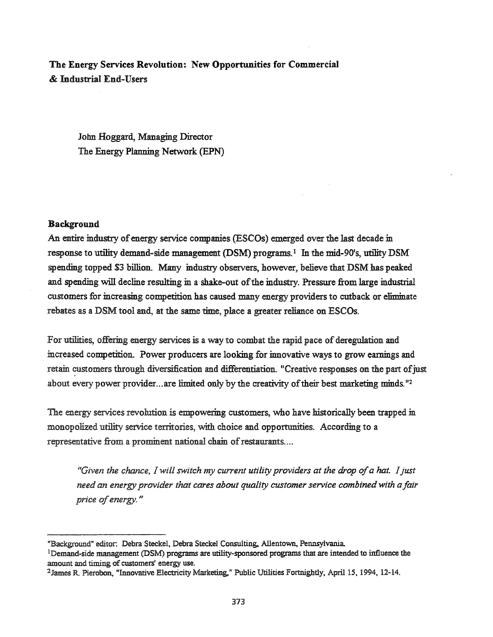# The Energy Services Revolution: New Opportunities for Commercial & Industrial End-Users

John Hoggard, Managing Director The Energy Planning Network (EPN)

# Background

An entire industry of energy service companies (ESCOs) emerged over the last decade in response to utility demand-side management (DSM) programs.! In the mid-90's, utility DSM spending topped \$3 billion. Many industry observers, however, believe that DSM has peaked and spending will decline resulting in a shake-out of the industry. Pressure from large industrial customers for increasing competition has caused many energy providers to cutback or eliminate rebates as a DSM tool and, at the same time, place a greater reliance on ESCOs.

For utilities, offering energy services is a way to combat the rapid pace of deregulation and increased competition. Power producers are looking for innovative ways to grow earnings and retain customers through diversification and differentiation. "Creative responses on the part of just about every power provider...are limited only by the creativity of their best marketing minds.  $12$ 

The energy services revolution is empowering customers, who have historically been trapped in monopolized utility service territories, with choice and opportunities. According to a representative from a prominent national chain of restaurants....

*"Given the chance,* 1*will switch my current utility providers at the drop ofa hat.* 1*just need an energy provider that cares about quality customer service combinedwith afair price ofenergy. "*

<sup>&</sup>quot;Background" editor. Debra Steckel, Debra Steckel Consulting, Allentown, Pennsylvania

<sup>&</sup>lt;sup>1</sup>Demand-side management (DSM) programs are utility-sponsored programs that are intended to influence the amount and timing of customers' energy use.

<sup>2</sup>James R Pierobon, "Innovative Electricity Marketing," Public Utilities Fortnightly, April IS, 1994, 12-14.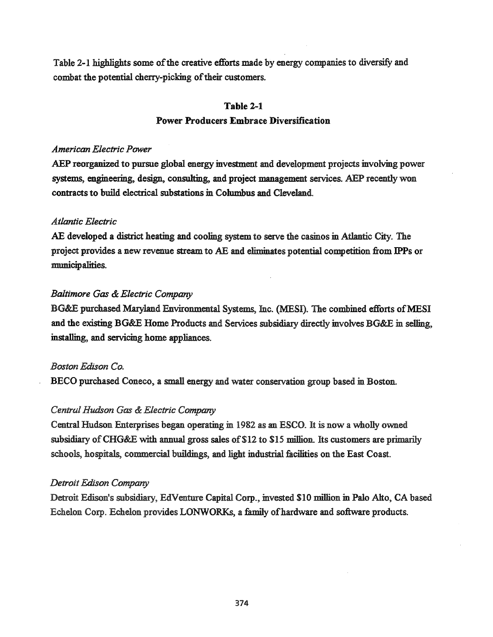Table 2-1 highlights some of the creative efforts made by energy companies to diversify and combat the potential cherry-picking of their customers.

# **Table** 2-1 Power Producers **Embrace** Diversification

# *American Electric Power*

AEP reorganized to pursue global energy investment and development projects involving power systems, engineering, design, consulting, and project management services. AEP recently won contracts to build electrical substations in Columbus and Cleveland.

# *Atlantic Electric*

AE developed a district heating and cooling system to serve the casinos in Atlantic City. The project provides a new revenue stream to AE and eliminates potential competition from IPPs or municipalities.

# *Baltimore Gas* & *Electric Company*

BG&E purchased Maryland Environmental Systems, Inc. (MESI). The combined efforts of MESI and the existing BG&E Home Products and Services subsidiary directly involves BG&E in selling, installing, and servicing home appliances.

# *Boston Edison Co.*

BECO purchased Coneco, a small energy and water conservation group based in Boston.

# *Central Hudson Gas* & *Electric Company*

Central Hudson Enterprises began operating in 1982 as an ESCO. It is now a wholly owned subsidiary of CHG&E with annual gross sales of \$12 to \$15 million. Its customers are primarily schools, hospitals, commercial buildings, and light industrial facilities on the East Coast.

### *Detroit Edison Company*

Detroit Edison's subsidiary, EdVenture Capital Corp., invested SID million in Palo Alto, CA based Echelon Corp. Echelon provides LONWORKs, a family of hardware and software products.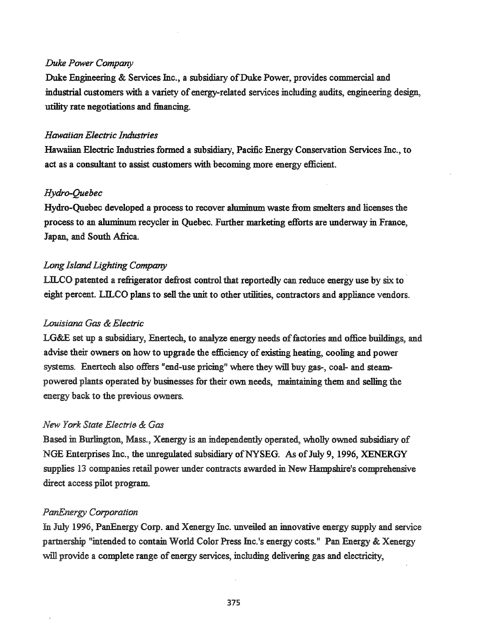### *Duke Power Company*

Duke Engineering & Services Inc., a subsidiary of Duke Power, provides commercial and industrial customers with a variety of energy-related services including audits, engineering design, utility rate negotiations and financing.

### *Hawaiian Electric Industries*

Hawaiian Electric Industries formed a subsidiary, Pacific Energy Conservation Services Inc., to act as a consultant to assist customers with becoming more energy efficient.

#### *Hydro-Quebec*

Hydro-Quebec developed a process to recover aluminum waste from smelters and licenses the process to an **aluminum** recycler in Quebec. Further marketing efforts are underway in France, Japan, and South Africa.

# *Long IslandLighting Company*

LILCO patented a refrigerator defrost control that reportedly can reduce energy use by six to eight percent. LILCO plans to sell the unit to other utilities, contractors and appliance vendors.

### *Louisiana Gas* & *Electric*

LG&E set up a subsidiary, Enertech, to analyze energy needs of factories and office buildings, and advise their owners on how to upgrade the efficiency of existing heating, cooling and power systems. Enertech also offers "end-use pricing" where they will buy gas-, coal- and steampowered plants operated by businesses for their own needs, maintaining them and selling the energy back to the previous owners.

# *New York State Electri(j.* & *Gas*

Based in Burlington, Mass., Xenergy is an independently operated, wholly owned subsidiary of NGE Enterprises Inc., the unregulated subsidiary of NYSEG. As of July 9, 1996, XENERGY supplies 13 companies retail power under contracts awarded in New Hampshire's comprehensive direct access pilot program.

#### *PanEnergy Corporation*

In July 1996, PanEnergy Corp. and Xenergy Inc. unveiled an innovative energy supply and service partnership "intended to contain World Color Press Inc.'s energy costs." Pan Energy & Xenergy will provide a complete range of energy services, including delivering gas and electricity,

375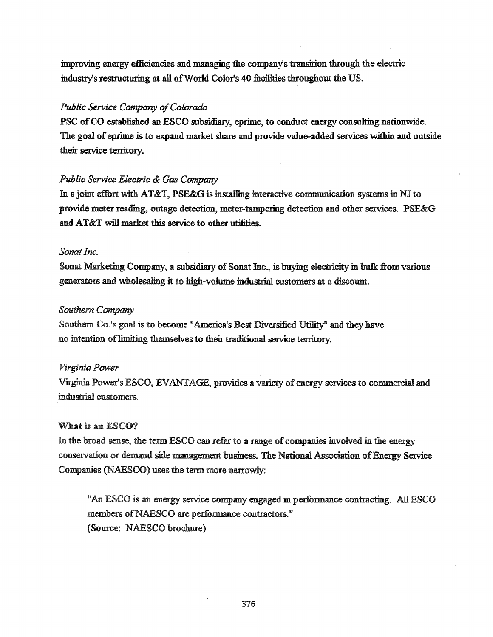improving energy efficiencies and managing the company's transition through the electric industry's restructuring at all of World Color's 40 facilities throughout the US.

# *Public Service Company of Colorado*

PSC of CO established an ESCO subsidiary, eprime, to conduct energy consulting nationwide. The goal of eprime is to expand market share and provide value-added services within and outside their service territory.

# *Public Service Electric* & *Gas Company*

In a joint effort with AT&T, PSE&G is installing interactive communication systems in NJ to provide meter reading, outage detection, meter-tampering detection and other services. PSE&G and AT&T will market this service to other utilities.

### Sonat Inc.

Sonat Marketing Company, a subsidiary of Sonat Inc., is buying electricity in bulk from various generators and wholesaling it: to high-volume industrial customers at a discount.

# *Southern Company*

Southern Co.'s goal is to become "America's Best Diversified Utility" and they have no intention of limiting themselves to their traditional service territory.

# *Virginia Power*

Virginia Power's ESCO, EVANTAGE, provides a variety of energy services to commercial and industrial customers.

### What is an ESCO?

In the broad sense, the term ESCO can refer to a range of companies involved in the energy conservation or demand side management business. The National Association ofEnergy Service Companies (NAESCO) uses the term more narrowly:

"An ESCO is an energy service company engaged in performance contracting. All ESCO members of NAESCO are performance contractors." (Source: NAESCO brochure)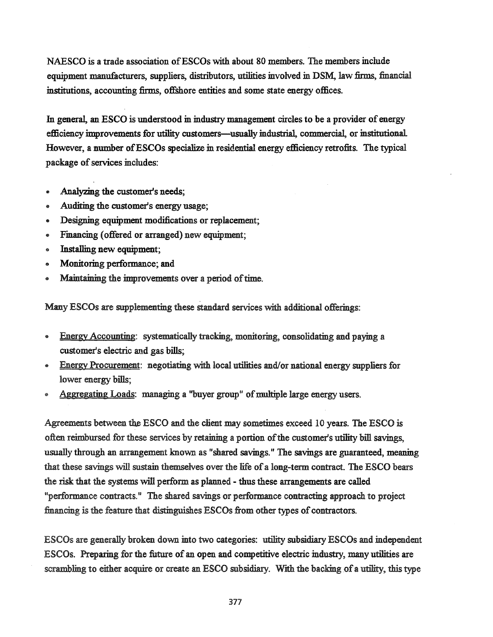NAESCO is a trade association of ESCOs with about 80 members. The members include equipment manufacturers, suppliers, distributors, utilities involved in DSM, law firms, financial institutions, accounting firms, offshore entities and some state energy offices.

In general, an ESCO is understood in industry management circles to be a provider of energy efficiency improvements for utility customers-usually industrial, commercial, or institutional. However, a number ofESCOs specialize in residential energy efficiency retrofits. The typical package of services includes:

- Analyzing the customer's needs;
- Auditing the customer's energy usage;
- Designing equipment modifications or replacement;
- Financing (offered or arranged) new equipment;
- Installing new equipment;
- Monitoring performance; and
- Maintaining the improvements over a period of time.

Many ESCOs are supplementing these standard services with additional offerings:

- Energy Accounting: systematically tracking, monitoring, consolidating and paying a customer's electric and gas bills;
- Energy Procurement: negotiating with local utilities and/or national energy suppliers for lower energy bills;
- Aggregating Loads: managing a "buyer group" of multiple large energy users.

Agreements between the ESCO and the client may sometimes exceed 10 years. The ESCO is often reimbursed for these services by retaining a portion of the customer's utility bill savings, usually through an arrangement known as "shared savings." The savings are guaranteed, meaning that these savings will sustain themselves over the life of a long-term contract. The ESCO bears the risk that the systems will perform as planned - thus these arrangements are called "performance contracts." The shared savings or performance contracting approach to project financing is the feature that distinguishes ESCOs from other types of contractors.

ESCOs are generally broken down into two categories: utility subsidiary ESCOs and independent ESCOs. Preparing for the future of an open and competitive electric industry, many utilities are scrambling to either acquire or create an ESCO subsidiary. With the backing of a utility, this type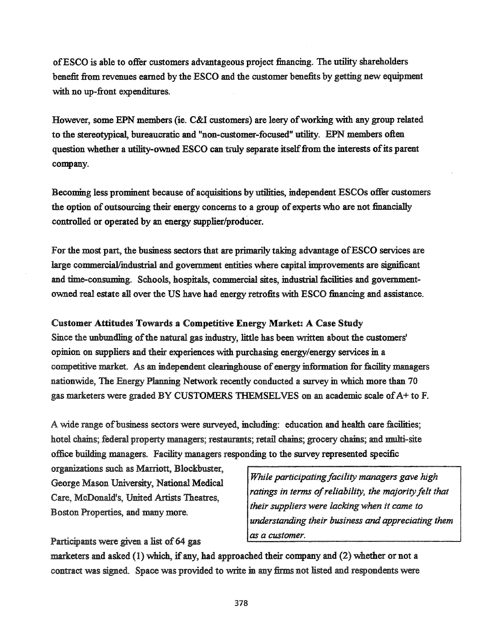ofESCO is able to offer customers advantageous project financing. The utility shareholders benefit from revenues earned by the ESCO and the customer benefits by getting new equipment with no up-front expenditures.

However, some EPN members (ie. C&I customers) are leery of working with any group related to the stereotypical, bureaucratic and "non-customer-focused" utility. EPN members often question whether a utility-owned ESCO can truly separate itself from the interests of its parent company.

Becoming less prominent because of acquisitions by utilities, independent ESCOs offer customers the option of outsourcing their energy concerns to a group of experts who are not financially controlled or operated by an energy supplier/producer.

For the most part, the business sectors that are primarily taking advantage ofESCO services are large commercial/industrial and government entities where capital improvements are significant and time-consuming. Schools, hospitals, commercial sites, industrial facilities and governmentowned real estate all over the US have had energy retrofits with ESCO financing and assistance.

# Customer Attitudes Towards a Competitive Energy Market: A Case Study

Since the unbundling of the natural gas industry, little has been written about the customers' opinion on suppliers and their experiences with purchasing energy/energy services in a competitive market. As an independent clearinghouse ofenergy information for facility managers nationwide, The Energy Planning Network recently conducted a survey in which more than 70 gas marketers were graded BY CUSTOMERS THEMSELVES on an academic scale of  $A+$  to F.

A wide range of business sectors were surveyed, including: education and health care facilities; hotel chains; federal property managers; restaurants; retail chains; grocery chains; and multi-site office building managers. Facility managers responding to the survey represented specific

organizations such as Marriott, Blockbuster, George Mason University, National Medical Care, McDonald's, United.Artists Theatres, Boston Properties, and many more.

*While participating facility managers gave high ratings in terms ofreliability, the majorityfelt that their suppliers were lackingwhen it came to understanding their business and appreciating them as a customer.*

Participants were given a list of 64 gas

marketers and asked  $(1)$  which, if any, had approached their company and  $(2)$  whether or not a contract was signed. Space was provided to write in any firms not listed and respondents were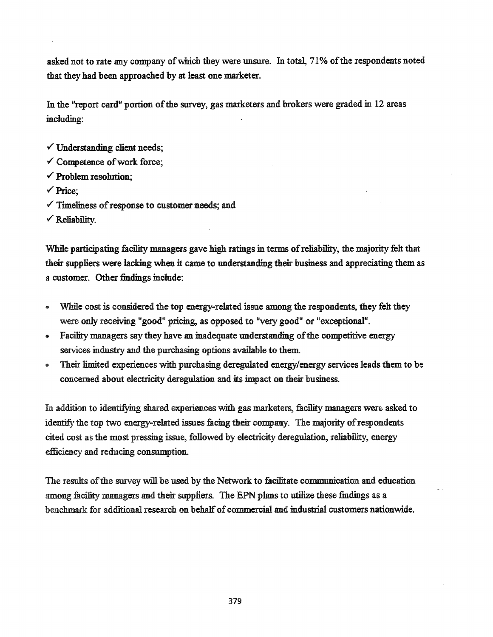asked not to rate any company ofwhich they were unsure. In total, 71% ofthe respondents noted that they had been approached by at least one marketer.

In the "report card" portion of the survey, gas marketers and brokers were graded in 12 areas including:

- $\checkmark$  Understanding client needs;
- $\checkmark$  Competence of work force;
- $\checkmark$  Problem resolution;
- ./ Price;
- $\checkmark$  Timeliness of response to customer needs; and
- $\checkmark$  Reliability.

While participating facility managers gave high ratings in terms of reliability, the majority felt that their suppliers were lacking when it came to understanding their business and appreciating them as a customer. Other findings include:

- While cost is considered the top energy-related issue among the respondents, they felt they were only receiving "good" pricing, as opposed to "very good" or "exceptional".
- Facility managers say they have an inadequate understanding of the competitive energy services industry and the purchasing options available to them.
- Their limited experiences with purchasing deregulated energy/energy services leads them to be concerned about electricity deregulation and its impact on their business.

In addition to identifying shared experiences with gas marketers, facility managers were asked to identify the top two energy-related issues facing their company. The majority of respondents cited cost as the most pressing issue, followed by electricity deregulation, reliability, energy efficiency and reducing consumption.

The results of the survey will be used by the Network to facilitate communication and education among facility managers and their suppliers. The EPN plans to utilize these findings as a benchmark for additional research on behalf of commercial and industrial customers nationwide.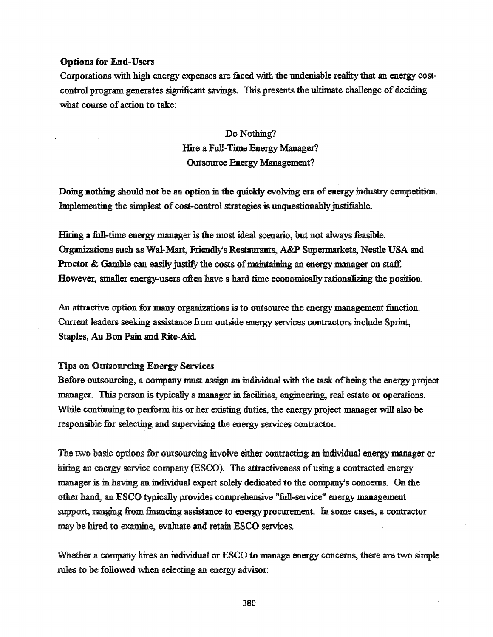# Options for End-Users

Corporations with high energy expenses are faced with the undeniable reality that an energy costcontrol program generates significant savings. This presents the ultimate challenge of deciding what course of action to take:

> Do Nothing? Hire a Full-Time Energy Manager? Outsource Energy Management?

Doing nothing should not be an option in the quickly evolving era of energy industry competition. Implementing the simplest of cost-control strategies is unquestionably justifiable.

Hiring a full-time energy manager is the most ideal scenario, but not always feasible. Organizations such as Wal-Mart, Friendly's Restaurants, A&P Supermarkets, Nestle USA and Proctor & Gamble can easily justify the costs of maintaining an energy manager on staff. However, smaller energy-users often have a hard time economically rationalizing the position.

An attractive option for many organizations is to outsource the energy management function. Current leaders seeking assistance from outside energy services contractors include Sprint, Staples, Au Bon Pain and Rite-Aid

### Tips on Outsourcing Energy Services

Before outsourcing, a company must assign an individual with the task of being the energy project manager. This person is typically a manager in facilities, engineering, real estate or operations. While continuing to perform his or her existing duties, the energy project manager will also be responsible for selecting and supervising the energy services contractor.

The two basic options for outsourcing involve either contracting an individual energy manager or hiring an energy service company (ESCO). The attractiveness of using a contracted energy manager is in having an individual expert solely dedicated to the company's concerns. On the other hand, an ESCO typically provides comprehensive "full-service" energy management support, ranging from financing assistance to energy procurement. In some cases, a contractor may be hired to examine, evaluate and retain ESCO services.

Whether a company hires an individual or ESCO to manage energy concerns, there are two simple rules to be followed when selecting an energy advisor: